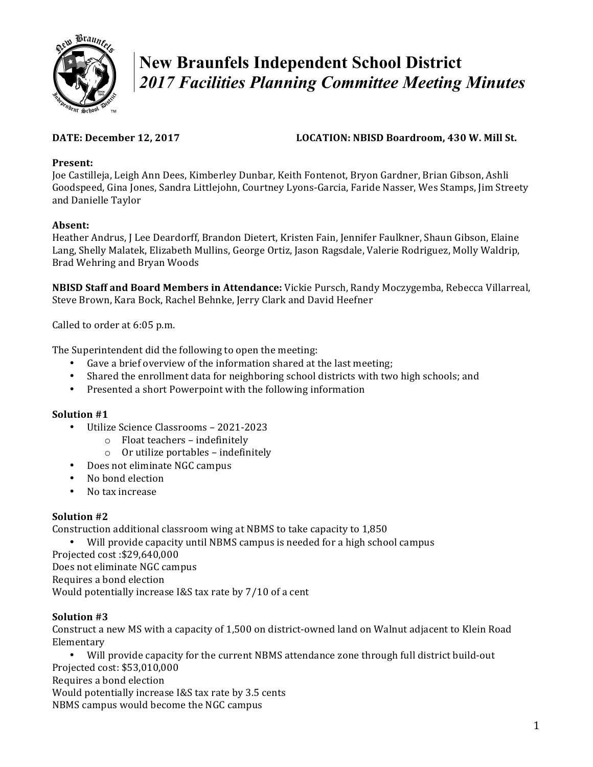

# **New Braunfels Independent School District**  *2017 Facilities Planning Committee Meeting Minutes*

## **DATE:** December 12, 2017 **LOCATION:** NBISD Boardroom, 430 W. Mill St.

#### Present:

Joe Castilleja, Leigh Ann Dees, Kimberley Dunbar, Keith Fontenot, Bryon Gardner, Brian Gibson, Ashli Goodspeed, Gina Jones, Sandra Littlejohn, Courtney Lyons-Garcia, Faride Nasser, Wes Stamps, Jim Streety and Danielle Taylor

## **Absent:**

Heather Andrus, J Lee Deardorff, Brandon Dietert, Kristen Fain, Jennifer Faulkner, Shaun Gibson, Elaine Lang, Shelly Malatek, Elizabeth Mullins, George Ortiz, Jason Ragsdale, Valerie Rodriguez, Molly Waldrip, Brad Wehring and Bryan Woods

**NBISD Staff and Board Members in Attendance:** Vickie Pursch, Randy Moczygemba, Rebecca Villarreal, Steve Brown, Kara Bock, Rachel Behnke, Jerry Clark and David Heefner

Called to order at 6:05 p.m.

The Superintendent did the following to open the meeting:

- Gave a brief overview of the information shared at the last meeting;
- Shared the enrollment data for neighboring school districts with two high schools; and
- Presented a short Powerpoint with the following information

# **Solution #1**

- Utilize Science Classrooms 2021-2023
	- $\circ$  Float teachers indefinitely
	- $\circ$  Or utilize portables indefinitely
- Does not eliminate NGC campus
- No bond election
- No tax increase

# **Solution #2**

Construction additional classroom wing at NBMS to take capacity to 1,850

Will provide capacity until NBMS campus is needed for a high school campus

Projected cost :\$29,640,000

Does not eliminate NGC campus

Requires a bond election

Would potentially increase I&S tax rate by  $7/10$  of a cent

# **Solution #3**

Construct a new MS with a capacity of 1,500 on district-owned land on Walnut adjacent to Klein Road Elementary

Will provide capacity for the current NBMS attendance zone through full district build-out Projected cost: \$53,010,000

Requires a bond election

Would potentially increase I&S tax rate by 3.5 cents

NBMS campus would become the NGC campus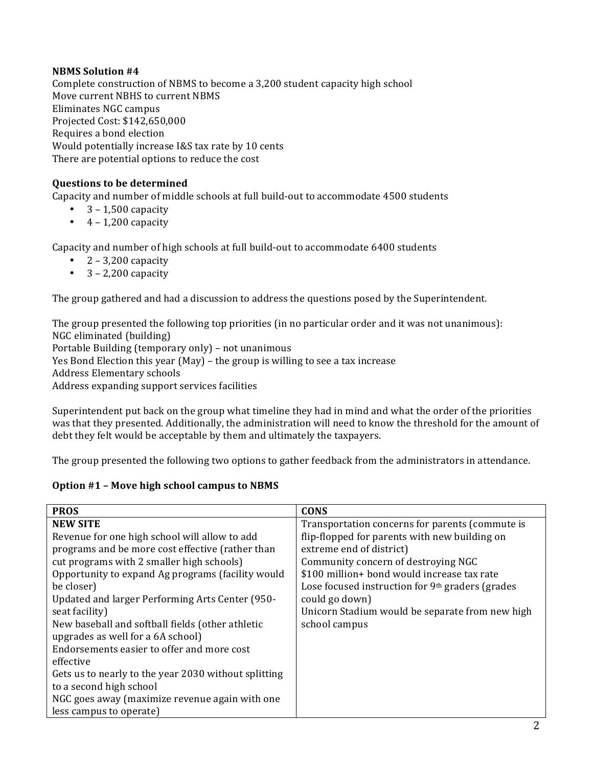#### **NBMS Solution #4**

Complete construction of NBMS to become a 3,200 student capacity high school Move current NBHS to current NBMS Eliminates NGC campus Projected Cost: \$142,650,000 Requires a bond election Would potentially increase I&S tax rate by 10 cents There are potential options to reduce the cost

#### **Questions to be determined**

Capacity and number of middle schools at full build-out to accommodate 4500 students

- $3 1.500$  capacity
- $\bullet$  4 1,200 capacity

Capacity and number of high schools at full build-out to accommodate 6400 students

- $2 3,200$  capacity
- $3 2,200$  capacity

The group gathered and had a discussion to address the questions posed by the Superintendent.

The group presented the following top priorities (in no particular order and it was not unanimous): NGC eliminated (building) Portable Building (temporary only) – not unanimous Yes Bond Election this year (May) – the group is willing to see a tax increase Address Elementary schools Address expanding support services facilities

Superintendent put back on the group what timeline they had in mind and what the order of the priorities was that they presented. Additionally, the administration will need to know the threshold for the amount of debt they felt would be acceptable by them and ultimately the taxpayers.

The group presented the following two options to gather feedback from the administrators in attendance.

#### **Option #1 - Move high school campus to NBMS**

| <b>PROS</b>                                          | <b>CONS</b>                                        |
|------------------------------------------------------|----------------------------------------------------|
| <b>NEW SITE</b>                                      | Transportation concerns for parents (commute is    |
| Revenue for one high school will allow to add        | flip-flopped for parents with new building on      |
| programs and be more cost effective (rather than     | extreme end of district)                           |
| cut programs with 2 smaller high schools)            | Community concern of destroying NGC                |
| Opportunity to expand Ag programs (facility would    | \$100 million+ bond would increase tax rate        |
| be closer)                                           | Lose focused instruction for $9th$ graders (grades |
| Updated and larger Performing Arts Center (950-      | could go down)                                     |
| seat facility)                                       | Unicorn Stadium would be separate from new high    |
| New baseball and softball fields (other athletic     | school campus                                      |
| upgrades as well for a 6A school)                    |                                                    |
| Endorsements easier to offer and more cost           |                                                    |
| effective                                            |                                                    |
| Gets us to nearly to the year 2030 without splitting |                                                    |
| to a second high school                              |                                                    |
| NGC goes away (maximize revenue again with one       |                                                    |
| less campus to operate)                              |                                                    |